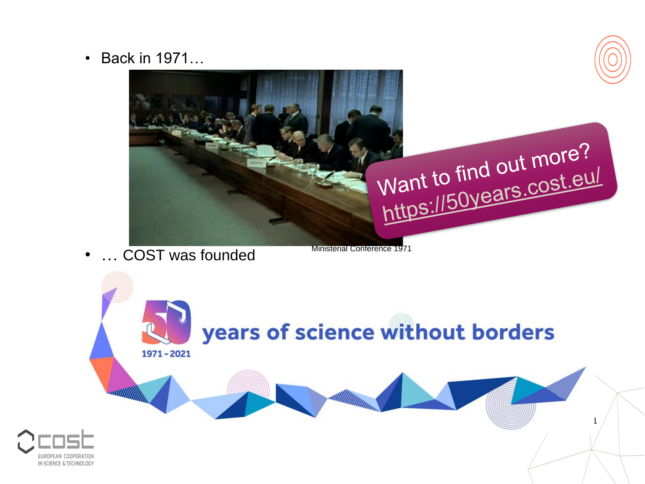• Back in 1971...



• ... COST was founded

**Ministerial Conference 1971** 

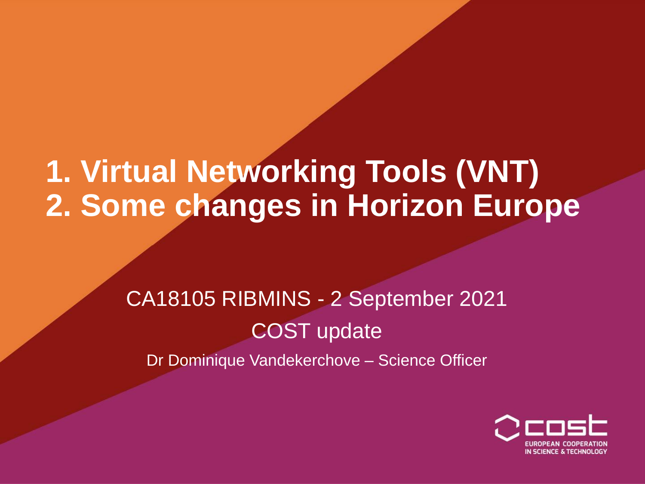### **1. Virtual Networking Tools (VNT) 2. Some changes in Horizon Europe**

### CA18105 RIBMINS - 2 September 2021 COST update

Dr Dominique Vandekerchove – Science Officer

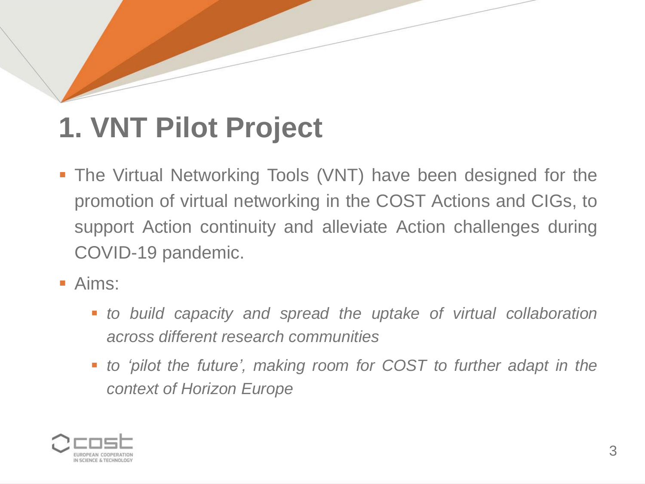# **1. VNT Pilot Project**

- **The Virtual Networking Tools (VNT) have been designed for the** promotion of virtual networking in the COST Actions and CIGs, to support Action continuity and alleviate Action challenges during COVID-19 pandemic.
- Aims:
	- *to build capacity and spread the uptake of virtual collaboration across different research communities*
	- *to 'pilot the future', making room for COST to further adapt in the context of Horizon Europe*

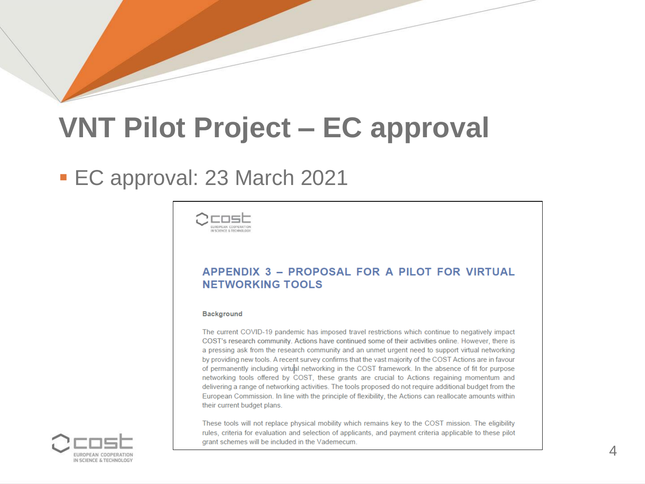### **VNT Pilot Project – EC approval**

### ▪ EC approval: 23 March 2021



### APPENDIX 3 - PROPOSAL FOR A PILOT FOR VIRTUAL **NETWORKING TOOLS**

### **Background**

The current COVID-19 pandemic has imposed travel restrictions which continue to negatively impact COST's research community. Actions have continued some of their activities online. However, there is a pressing ask from the research community and an unmet urgent need to support virtual networking by providing new tools. A recent survey confirms that the vast majority of the COST Actions are in favour of permanently including virtual networking in the COST framework. In the absence of fit for purpose networking tools offered by COST, these grants are crucial to Actions regaining momentum and delivering a range of networking activities. The tools proposed do not require additional budget from the European Commission. In line with the principle of flexibility, the Actions can reallocate amounts within their current budget plans.

These tools will not replace physical mobility which remains key to the COST mission. The eligibility rules, criteria for evaluation and selection of applicants, and payment criteria applicable to these pilot grant schemes will be included in the Vademecum.

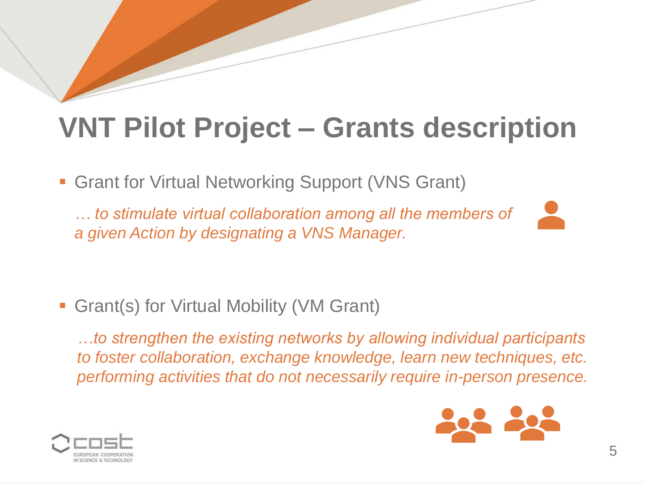**• Grant for Virtual Networking Support (VNS Grant)** 

*… to stimulate virtual collaboration among all the members of a given Action by designating a VNS Manager.* 



**• Grant(s) for Virtual Mobility (VM Grant)** 

*…to strengthen the existing networks by allowing individual participants to foster collaboration, exchange knowledge, learn new techniques, etc. performing activities that do not necessarily require in-person presence.* 



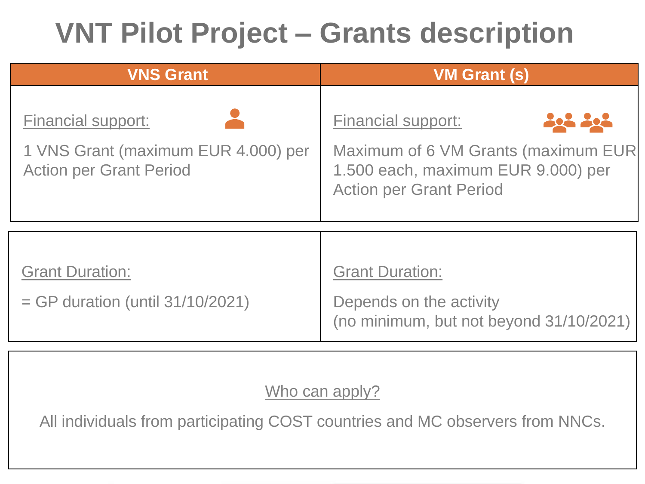| <b>VNS Grant</b>                                                                                   | <b>VM Grant (s)</b>                                                                                                                              |
|----------------------------------------------------------------------------------------------------|--------------------------------------------------------------------------------------------------------------------------------------------------|
| <b>Financial support:</b><br>1 VNS Grant (maximum EUR 4.000) per<br><b>Action per Grant Period</b> | <b>Financial support:</b><br>2002<br>Maximum of 6 VM Grants (maximum EUR<br>1.500 each, maximum EUR 9.000) per<br><b>Action per Grant Period</b> |
| <b>Grant Duration:</b><br>$=$ GP duration (until $31/10/2021$ )                                    | <b>Grant Duration:</b><br>Depends on the activity<br>(no minimum, but not beyond 31/10/2021)                                                     |

Who can apply?

All individuals from participating COST countries and MC observers from NNCs.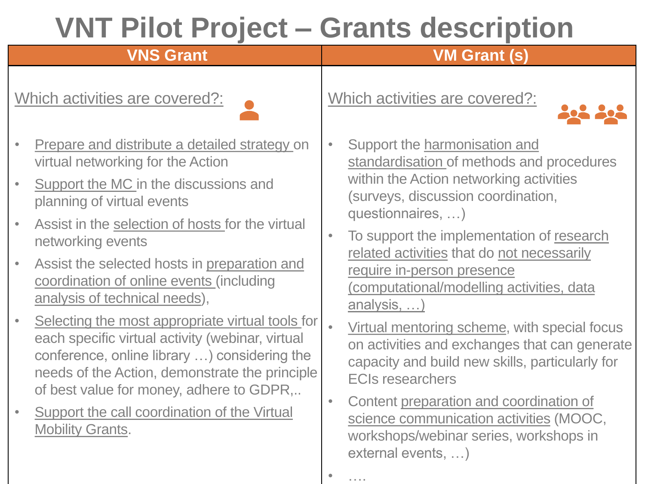• ….

### **VNS Grant VM Grant (s)**

Which activities are covered?:



- Prepare and distribute a detailed strategy on virtual networking for the Action
- Support the MC in the discussions and planning of virtual events
- Assist in the selection of hosts for the virtual networking events
- Assist the selected hosts in preparation and coordination of online events (including analysis of technical needs),
- Selecting the most appropriate virtual tools for each specific virtual activity (webinar, virtual conference, online library …) considering the needs of the Action, demonstrate the principle of best value for money, adhere to GDPR,..
- Support the call coordination of the Virtual Mobility Grants.

Which activities are covered?:



- Support the harmonisation and standardisation of methods and procedures within the Action networking activities (surveys, discussion coordination, questionnaires, …)
- To support the implementation of research related activities that do not necessarily require in-person presence (computational/modelling activities, data analysis, …)
- Virtual mentoring scheme, with special focus on activities and exchanges that can generate capacity and build new skills, particularly for ECIs researchers
- Content preparation and coordination of science communication activities (MOOC, workshops/webinar series, workshops in external events, …)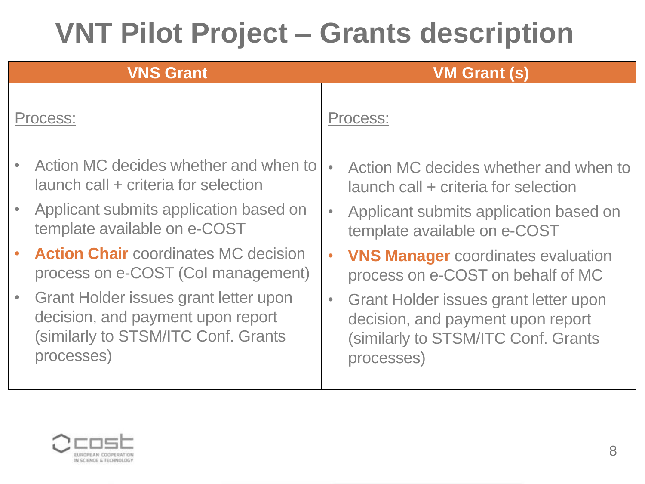### **VNS Grant VM Grant (s)** Process: • Action MC decides whether and when to launch call + criteria for selection • Applicant submits application based on template available on e-COST • **Action Chair** coordinates MC decision process on e-COST (CoI management) • Grant Holder issues grant letter upon decision, and payment upon report (similarly to STSM/ITC Conf. Grants processes) Process: • Action MC decides whether and when to launch call + criteria for selection • Applicant submits application based on template available on e-COST • **VNS Manager** coordinates evaluation process on e-COST on behalf of MC • Grant Holder issues grant letter upon decision, and payment upon report (similarly to STSM/ITC Conf. Grants processes)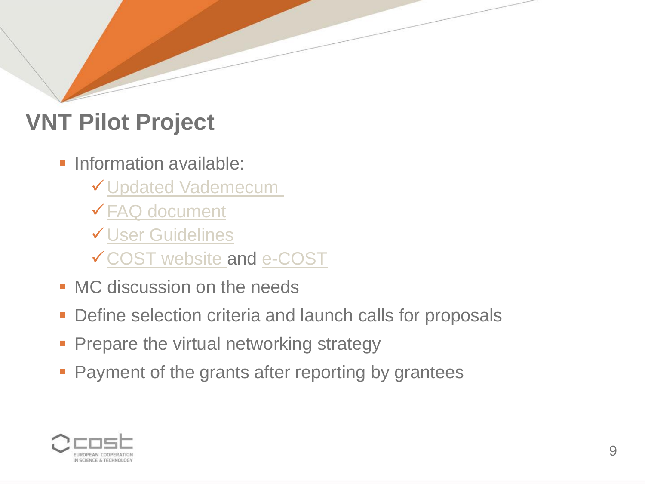### **VNT Pilot Project**

- **Information available:** 
	- ✓[Updated Vademecum](https://www.cost.eu/uploads/2021/06/Vademecum-V9-28-April-20212-1.pdf)
	- ✓[FAQ document](https://www.cost.eu/uploads/2021/06/FAQ-VNTs-Final-Version-1.pdf)
	- ✓[User Guidelines](https://www.cost.eu/uploads/2021/06/VNT-userguide.pdf)
	- ✓[COST website](https://www.cost.eu/) and [e-COST](https://e-services.cost.eu/)
- **MC discussion on the needs**
- Define selection criteria and launch calls for proposals
- **Prepare the virtual networking strategy**
- **Payment of the grants after reporting by grantees**

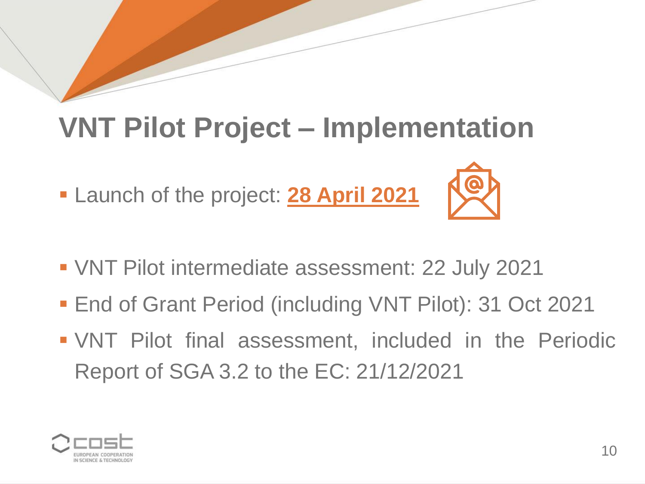### **VNT Pilot Project – Implementation**

▪ Launch of the project: **28 April 2021**



- End of Grant Period (including VNT Pilot): 31 Oct 2021
- VNT Pilot final assessment, included in the Periodic Report of SGA 3.2 to the EC: 21/12/2021

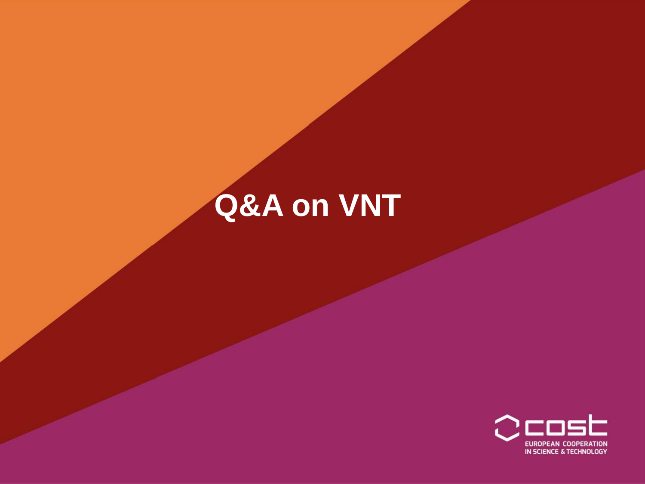# Q&A on VNT

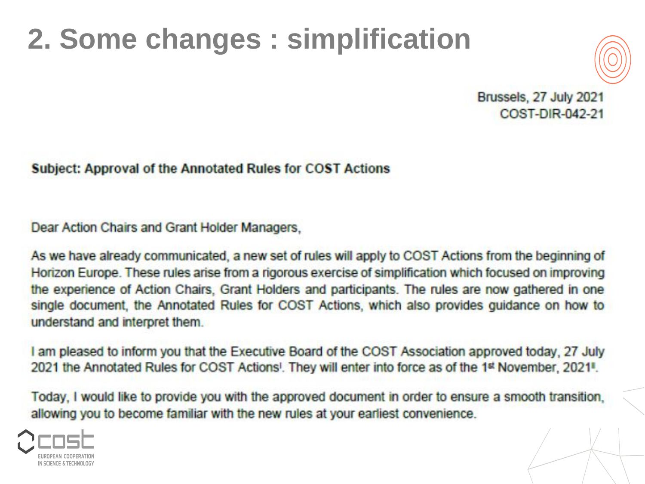### **2. Some changes : simplification**



Brussels, 27 July 2021 COST-DIR-042-21

**Subject: Approval of the Annotated Rules for COST Actions** 

Dear Action Chairs and Grant Holder Managers.

As we have already communicated, a new set of rules will apply to COST Actions from the beginning of Horizon Europe. These rules arise from a rigorous exercise of simplification which focused on improving the experience of Action Chairs. Grant Holders and participants. The rules are now gathered in one single document, the Annotated Rules for COST Actions, which also provides guidance on how to understand and interpret them.

I am pleased to inform you that the Executive Board of the COST Association approved today, 27 July 2021 the Annotated Rules for COST Actions<sup>1</sup>. They will enter into force as of the 1<sup>st</sup> November, 2021<sup>1</sup>.

Today, I would like to provide you with the approved document in order to ensure a smooth transition. allowing you to become familiar with the new rules at your earliest convenience.

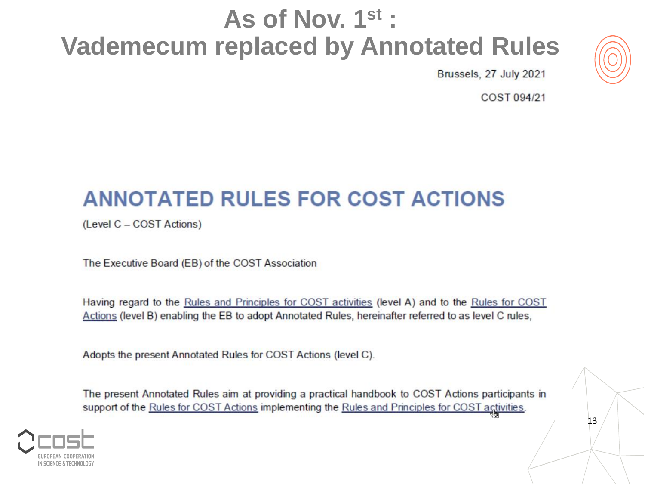### As of Nov. 1st: **Vademecum replaced by Annotated Rules**



Brussels, 27 July 2021

COST 094/21

### **ANNOTATED RULES FOR COST ACTIONS**

(Level C - COST Actions)

The Executive Board (EB) of the COST Association

Having regard to the Rules and Principles for COST activities (level A) and to the Rules for COST Actions (level B) enabling the EB to adopt Annotated Rules, hereinafter referred to as level C rules,

Adopts the present Annotated Rules for COST Actions (level C).

The present Annotated Rules aim at providing a practical handbook to COST Actions participants in support of the Rules for COST Actions implementing the Rules and Principles for COST activities.



13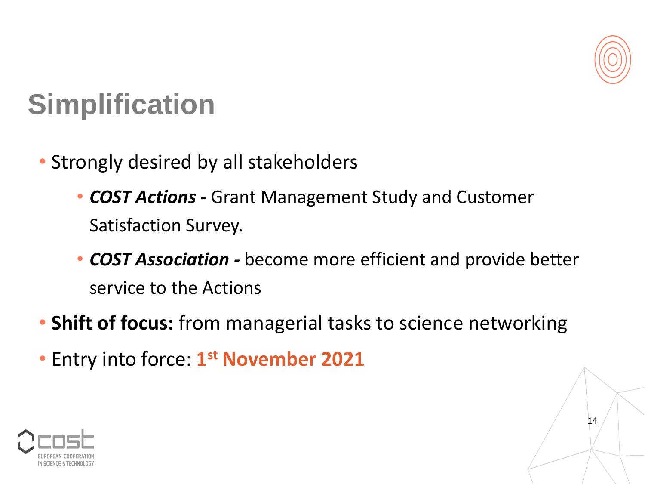

14

### **Simplification**

- Strongly desired by all stakeholders
	- *COST Actions -* Grant Management Study and Customer Satisfaction Survey.
	- *COST Association -* become more efficient and provide better service to the Actions
- **Shift of focus:** from managerial tasks to science networking
- Entry into force: **1 st November 2021**

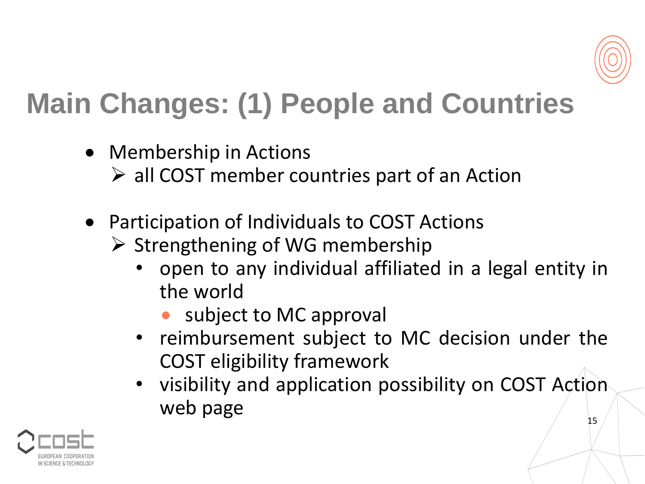

## **Main Changes: (1) People and Countries**

- Membership in Actions  $\triangleright$  all COST member countries part of an Action
- Participation of Individuals to COST Actions
	- $\triangleright$  Strengthening of WG membership
		- open to any individual affiliated in a legal entity in the world
			- subject to MC approval
		- reimbursement subject to MC decision under the COST eligibility framework
		- visibility and application possibility on COST Action web page

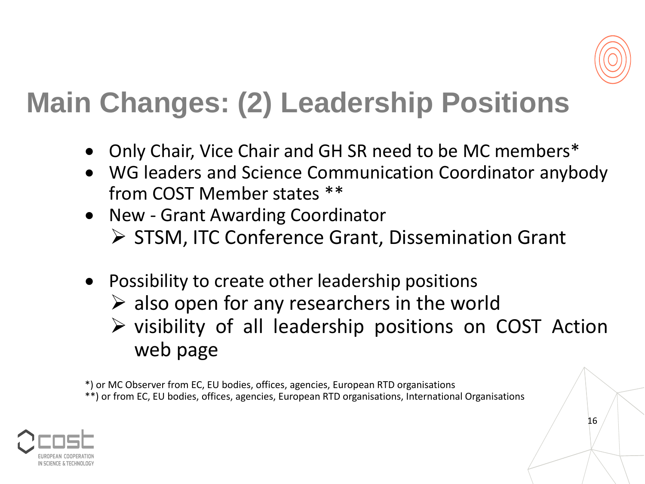

### **Main Changes: (2) Leadership Positions**

- Only Chair, Vice Chair and GH SR need to be MC members\*
- WG leaders and Science Communication Coordinator anybody from COST Member states \*\*
- New Grant Awarding Coordinator
	- ➢ STSM, ITC Conference Grant, Dissemination Grant
- Possibility to create other leadership positions
	- $\triangleright$  also open for any researchers in the world
	- ➢ visibility of all leadership positions on COST Action web page

\*) or MC Observer from EC, EU bodies, offices, agencies, European RTD organisations \*\*) or from EC, EU bodies, offices, agencies, European RTD organisations, International Organisations



16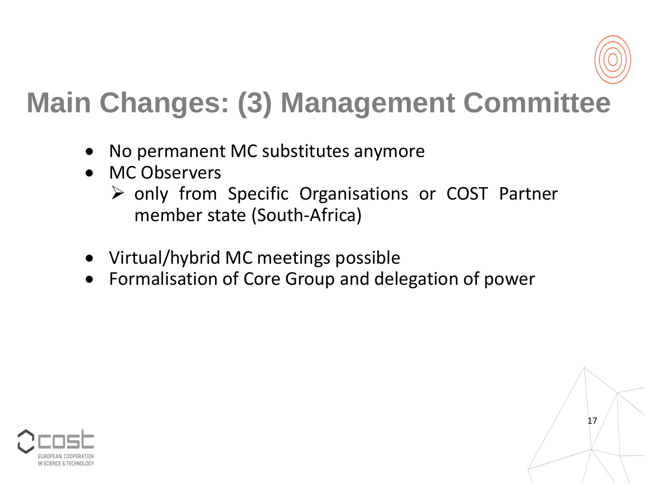

17

### **Main Changes: (3) Management Committee**

- No permanent MC substitutes anymore
- MC Observers
	- ➢ only from Specific Organisations or COST Partner member state (South-Africa)
- Virtual/hybrid MC meetings possible
- Formalisation of Core Group and delegation of power